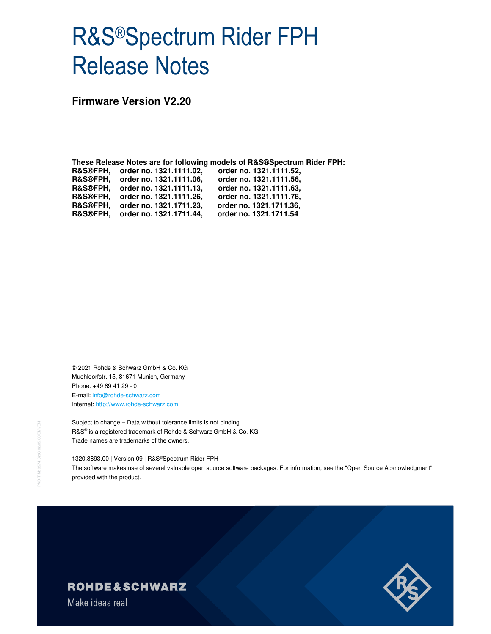# R&S®Spectrum Rider FPH Release Notes

**Firmware Version V2.20** 

**These Release Notes are for following models of R&S®Spectrum Rider FPH: R&S®FPH, order no. 1321.1111.02, order no. 1321.1111.52, R&S®FPH, order no. 1321.1111.06, order no. 1321.1111.56, R&S®FPH, order no. 1321.1111.13, order no. 1321.1111.63, R&S®FPH, order no. 1321.1111.26, order no. 1321.1111.76, R&S®FPH, order no. 1321.1711.23, order no. 1321.1711.36, R&S®FPH, order no. 1321.1711.44, order no. 1321.1711.54**

© 2021 Rohde & Schwarz GmbH & Co. KG Muehldorfstr. 15, 81671 Munich, Germany Phone: +49 89 41 29 - 0 E-mail: info@rohde-schwarz.com Internet: http://www.rohde-schwarz.com

Subject to change – Data without tolerance limits is not binding. R&S® is a registered trademark of Rohde & Schwarz GmbH & Co. KG. Trade names are trademarks of the owners.

1320.8893.00 | Version 09 | R&S®Spectrum Rider FPH | The software makes use of several valuable open source software packages. For information, see the "Open Source Acknowledgment" provided with the product.

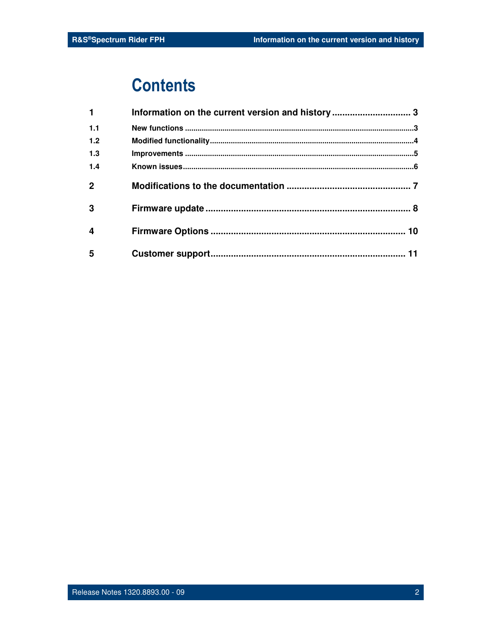## **Contents**

| $\mathbf{1}$     | Information on the current version and history 3 |  |
|------------------|--------------------------------------------------|--|
| 1.1              |                                                  |  |
| 1.2              |                                                  |  |
| 1.3              |                                                  |  |
| 1.4              |                                                  |  |
| $\mathbf{2}$     |                                                  |  |
| 3                |                                                  |  |
| $\boldsymbol{4}$ |                                                  |  |
| 5                |                                                  |  |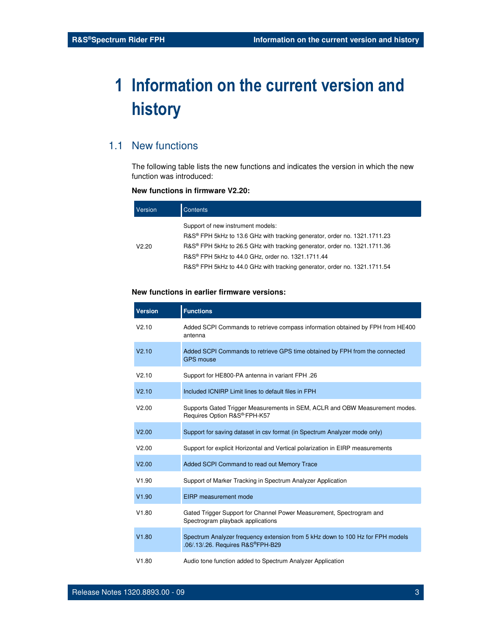## **1 Information on the current version and history**

## 1.1 New functions

The following table lists the new functions and indicates the version in which the new function was introduced:

### **New functions in firmware V2.20:**

| Version | Contents                                                                                                       |
|---------|----------------------------------------------------------------------------------------------------------------|
|         | Support of new instrument models:<br>R&S® FPH 5kHz to 13.6 GHz with tracking generator, order no. 1321.1711.23 |
| V2.20   | R&S <sup>®</sup> FPH 5kHz to 26.5 GHz with tracking generator, order no. 1321.1711.36                          |
|         | R&S <sup>®</sup> FPH 5kHz to 44.0 GHz, order no. 1321.1711.44                                                  |
|         | R&S® FPH 5kHz to 44.0 GHz with tracking generator, order no. 1321.1711.54                                      |

### **New functions in earlier firmware versions:**

| <b>Version</b>    | <b>Functions</b>                                                                                                    |
|-------------------|---------------------------------------------------------------------------------------------------------------------|
| V2.10             | Added SCPI Commands to retrieve compass information obtained by FPH from HE400<br>antenna                           |
| V2.10             | Added SCPI Commands to retrieve GPS time obtained by FPH from the connected<br><b>GPS mouse</b>                     |
| V2.10             | Support for HE800-PA antenna in variant FPH .26                                                                     |
| V <sub>2.10</sub> | Included ICNIRP Limit lines to default files in FPH                                                                 |
| V2.00             | Supports Gated Trigger Measurements in SEM, ACLR and OBW Measurement modes.<br>Requires Option R&S® FPH-K57         |
| V2.00             | Support for saving dataset in csv format (in Spectrum Analyzer mode only)                                           |
| V2.00             | Support for explicit Horizontal and Vertical polarization in EIRP measurements                                      |
| V2.00             | Added SCPI Command to read out Memory Trace                                                                         |
| V1.90             | Support of Marker Tracking in Spectrum Analyzer Application                                                         |
| V1.90             | EIRP measurement mode                                                                                               |
| V1.80             | Gated Trigger Support for Channel Power Measurement, Spectrogram and<br>Spectrogram playback applications           |
| V1.80             | Spectrum Analyzer frequency extension from 5 kHz down to 100 Hz for FPH models<br>.06/.13/.26. Requires R&S®FPH-B29 |
| V1.80             | Audio tone function added to Spectrum Analyzer Application                                                          |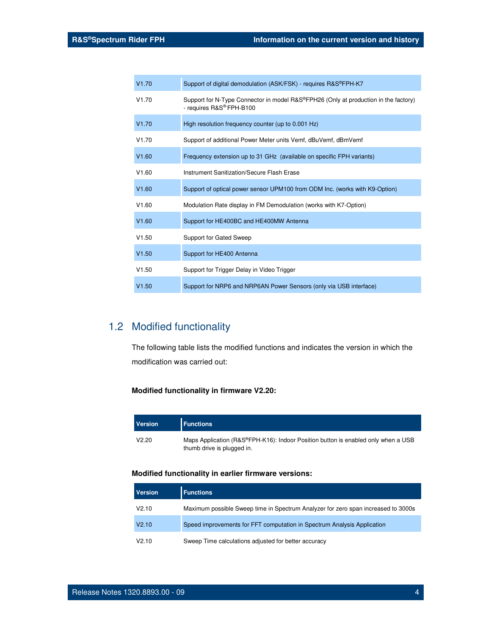| V1.70 | Support of digital demodulation (ASK/FSK) - requires R&S®FPH-K7                                                              |
|-------|------------------------------------------------------------------------------------------------------------------------------|
| V1.70 | Support for N-Type Connector in model R&S®FPH26 (Only at production in the factory)<br>- requires R&S <sup>®-</sup> FPH-B100 |
| V1.70 | High resolution frequency counter (up to 0.001 Hz)                                                                           |
| V1.70 | Support of additional Power Meter units Vemf, dBuVemf, dBmVemf                                                               |
| V1.60 | Frequency extension up to 31 GHz (available on specific FPH variants)                                                        |
| V1.60 | Instrument Sanitization/Secure Flash Erase                                                                                   |
| V1.60 | Support of optical power sensor UPM100 from ODM Inc. (works with K9-Option)                                                  |
| V1.60 | Modulation Rate display in FM Demodulation (works with K7-Option)                                                            |
| V1.60 | Support for HE400BC and HE400MW Antenna                                                                                      |
| V1.50 | Support for Gated Sweep                                                                                                      |
| V1.50 | Support for HE400 Antenna                                                                                                    |
| V1.50 | Support for Trigger Delay in Video Trigger                                                                                   |
| V1.50 | Support for NRP6 and NRP6AN Power Sensors (only via USB interface)                                                           |

## 1.2 Modified functionality

The following table lists the modified functions and indicates the version in which the modification was carried out:

## **Modified functionality in firmware V2.20:**

| <b>Version</b> | <b>Functions</b>                                                                                                |
|----------------|-----------------------------------------------------------------------------------------------------------------|
| V2.20          | Maps Application (R&S®FPH-K16): Indoor Position button is enabled only when a USB<br>thumb drive is plugged in. |

## **Modified functionality in earlier firmware versions:**

| <b>Version</b>    | <b>Functions</b>                                                                  |
|-------------------|-----------------------------------------------------------------------------------|
| V2.10             | Maximum possible Sweep time in Spectrum Analyzer for zero span increased to 3000s |
| V <sub>2.10</sub> | Speed improvements for FFT computation in Spectrum Analysis Application           |
| V2.10             | Sweep Time calculations adjusted for better accuracy                              |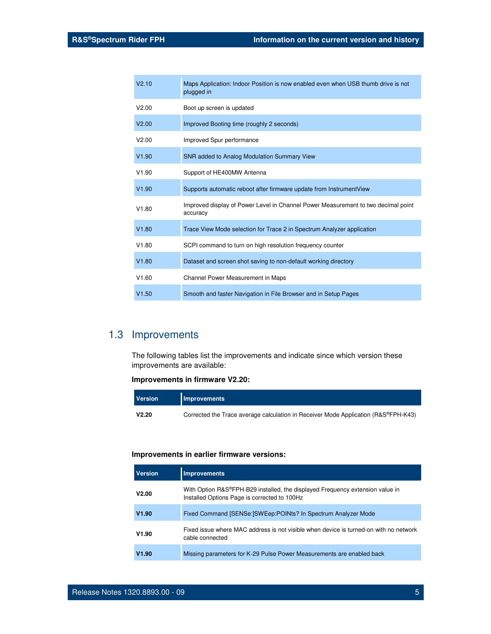| V2.10 | Maps Application: Indoor Position is now enabled even when USB thumb drive is not<br>plugged in |
|-------|-------------------------------------------------------------------------------------------------|
| V2.00 | Boot up screen is updated                                                                       |
| V2.00 | Improved Booting time (roughly 2 seconds)                                                       |
| V2.00 | Improved Spur performance                                                                       |
| V1.90 | SNR added to Analog Modulation Summary View                                                     |
| V1.90 | Support of HE400MW Antenna                                                                      |
| V1.90 | Supports automatic reboot after firmware update from Instrument View                            |
| V1.80 | Improved display of Power Level in Channel Power Measurement to two decimal point<br>accuracy   |
| V1.80 | Trace View Mode selection for Trace 2 in Spectrum Analyzer application                          |
| V1.80 | SCPI command to turn on high resolution frequency counter                                       |
| V1.80 | Dataset and screen shot saving to non-default working directory                                 |
| V1.60 | Channel Power Measurement in Maps                                                               |
| V1.50 | Smooth and faster Navigation in File Browser and in Setup Pages                                 |

## 1.3 Improvements

The following tables list the improvements and indicate since which version these improvements are available:

### **Improvements in firmware V2.20:**

| <b>Version</b> | <b>Improvements</b>                                                                |
|----------------|------------------------------------------------------------------------------------|
| V2.20          | Corrected the Trace average calculation in Receiver Mode Application (R&S®FPH-K43) |

### **Improvements in earlier firmware versions:**

| <b>Version</b> | <b>Improvements</b>                                                                                                           |
|----------------|-------------------------------------------------------------------------------------------------------------------------------|
| V2.00          | With Option R&S®FPH-B29 installed, the displayed Frequency extension value in<br>Installed Options Page is corrected to 100Hz |
| V1.90          | Fixed Command [SENSe: SWEep: POINts? In Spectrum Analyzer Mode                                                                |
| V1.90          | Fixed issue where MAC address is not visible when device is turned-on with no network<br>cable connected                      |
| V1.90          | Missing parameters for K-29 Pulse Power Measurements are enabled back                                                         |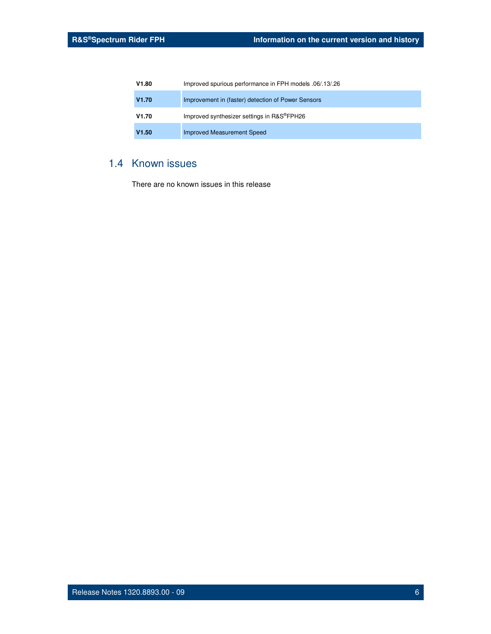| V1.80 | Improved spurious performance in FPH models .06/.13/.26 |
|-------|---------------------------------------------------------|
| V1.70 | Improvement in (faster) detection of Power Sensors      |
| V1.70 | Improved synthesizer settings in R&S®FPH26              |
| V1.50 | Improved Measurement Speed                              |

## 1.4 Known issues

There are no known issues in this release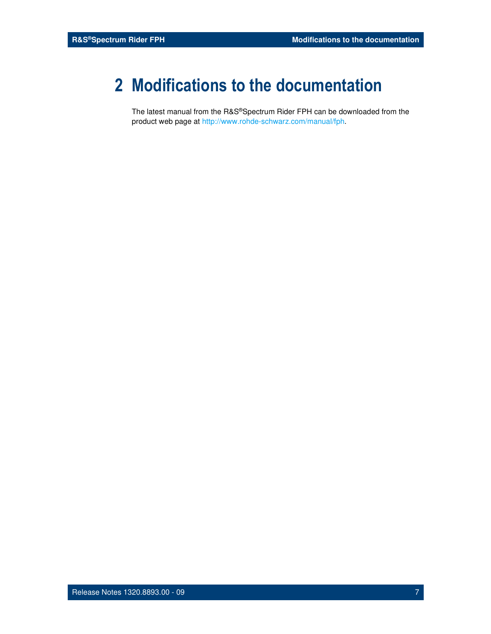## **2 Modifications to the documentation**

The latest manual from the R&S®Spectrum Rider FPH can be downloaded from the product web page at http://www.rohde-schwarz.com/manual/fph.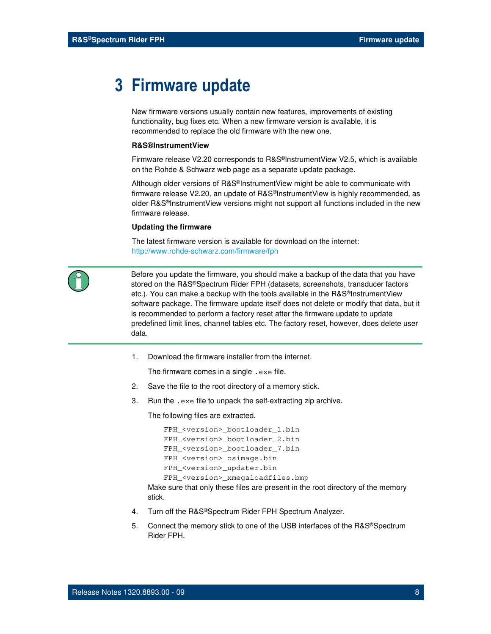## **3 Firmware update**

New firmware versions usually contain new features, improvements of existing functionality, bug fixes etc. When a new firmware version is available, it is recommended to replace the old firmware with the new one.

#### **R&S®InstrumentView**

Firmware release V2.20 corresponds to R&S®InstrumentView V2.5, which is available on the Rohde & Schwarz web page as a separate update package.

Although older versions of R&S®InstrumentView might be able to communicate with firmware release V2.20, an update of R&S®InstrumentView is highly recommended, as older R&S®InstrumentView versions might not support all functions included in the new firmware release.

#### **Updating the firmware**

The latest firmware version is available for download on the internet: http://www.rohde-schwarz.com/firmware/fph



 Before you update the firmware, you should make a backup of the data that you have stored on the R&S®Spectrum Rider FPH (datasets, screenshots, transducer factors etc.). You can make a backup with the tools available in the R&S®InstrumentView software package. The firmware update itself does not delete or modify that data, but it is recommended to perform a factory reset after the firmware update to update predefined limit lines, channel tables etc. The factory reset, however, does delete user data.

1. Download the firmware installer from the internet.

The firmware comes in a single .exe file.

- 2. Save the file to the root directory of a memory stick.
- 3. Run the .exe file to unpack the self-extracting zip archive.

The following files are extracted.

```
FPH_<version>_bootloader_1.bin 
FPH_<version>_bootloader_2.bin 
FPH_<version>_bootloader_7.bin 
FPH_<version>_osimage.bin 
FPH_<version>_updater.bin 
FPH_<version>_xmegaloadfiles.bmp
```
Make sure that only these files are present in the root directory of the memory stick.

- 4. Turn off the R&S®Spectrum Rider FPH Spectrum Analyzer.
- 5. Connect the memory stick to one of the USB interfaces of the R&S®Spectrum Rider FPH.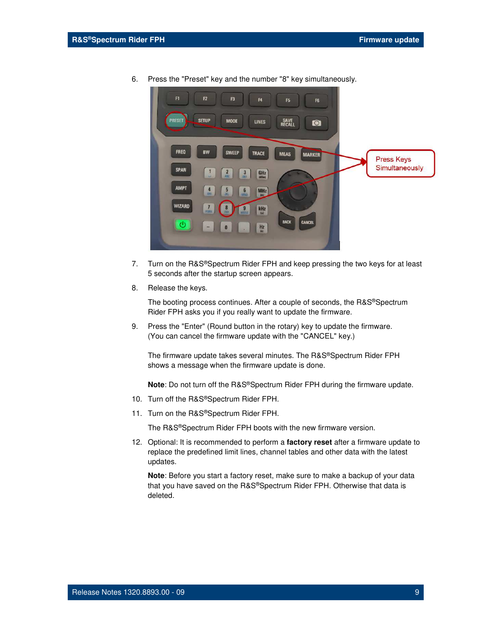

6. Press the "Preset" key and the number "8" key simultaneously.

- 7. Turn on the R&S®Spectrum Rider FPH and keep pressing the two keys for at least 5 seconds after the startup screen appears.
- 8. Release the keys.

The booting process continues. After a couple of seconds, the R&S®Spectrum Rider FPH asks you if you really want to update the firmware.

9. Press the "Enter" (Round button in the rotary) key to update the firmware. (You can cancel the firmware update with the "CANCEL" key.)

The firmware update takes several minutes. The R&S®Spectrum Rider FPH shows a message when the firmware update is done.

**Note**: Do not turn off the R&S®Spectrum Rider FPH during the firmware update.

- 10. Turn off the R&S®Spectrum Rider FPH.
- 11. Turn on the R&S®Spectrum Rider FPH.

The R&S®Spectrum Rider FPH boots with the new firmware version.

12. Optional: It is recommended to perform a **factory reset** after a firmware update to replace the predefined limit lines, channel tables and other data with the latest updates.

**Note**: Before you start a factory reset, make sure to make a backup of your data that you have saved on the R&S®Spectrum Rider FPH. Otherwise that data is deleted.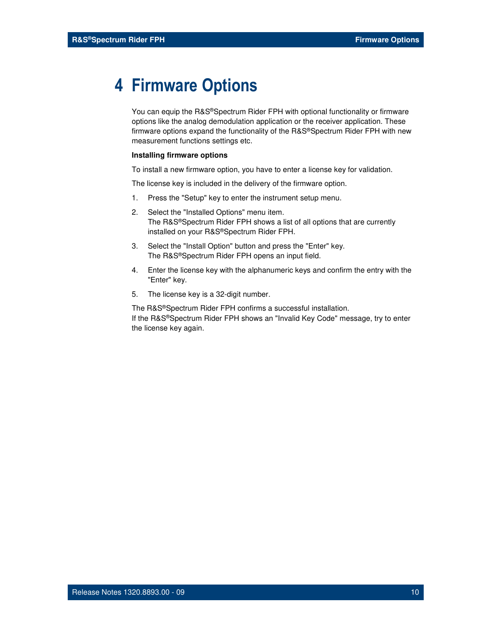## **4 Firmware Options**

You can equip the R&S®Spectrum Rider FPH with optional functionality or firmware options like the analog demodulation application or the receiver application. These firmware options expand the functionality of the R&S®Spectrum Rider FPH with new measurement functions settings etc.

#### **Installing firmware options**

To install a new firmware option, you have to enter a license key for validation.

The license key is included in the delivery of the firmware option.

- 1. Press the "Setup" key to enter the instrument setup menu.
- 2. Select the "Installed Options" menu item. The R&S®Spectrum Rider FPH shows a list of all options that are currently installed on your R&S®Spectrum Rider FPH.
- 3. Select the "Install Option" button and press the "Enter" key. The R&S®Spectrum Rider FPH opens an input field.
- 4. Enter the license key with the alphanumeric keys and confirm the entry with the "Enter" key.
- 5. The license key is a 32-digit number.

The R&S®Spectrum Rider FPH confirms a successful installation. If the R&S®Spectrum Rider FPH shows an "Invalid Key Code" message, try to enter the license key again.